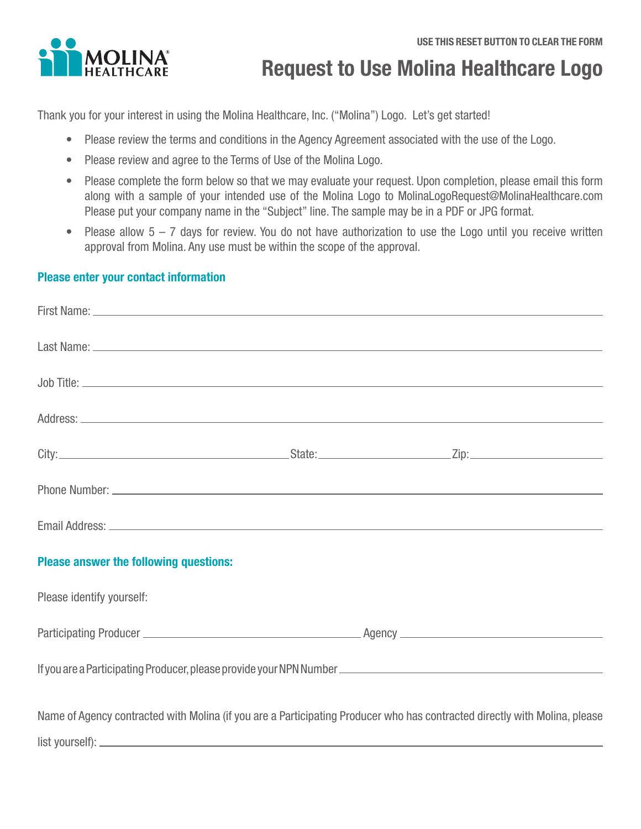

# **Request to Use Molina Healthcare Logo**

Thank you for your interest in using the Molina Healthcare, Inc. ("Molina") Logo. Let's get started!

- Please review the terms and conditions in the Agency Agreement associated with the use of the Logo.
- Please review and agree to the Terms of Use of the Molina Logo.
- Please complete the form below so that we may evaluate your request. Upon completion, please email this form along with a sample of your intended use of the Molina Logo to [MolinaLogoRequest@MolinaHealthcare.com](mailto:MolinaLogoRequest%40MolinaHealthcare.com?subject=) Please put your company name in the "Subject" line. The sample may be in a PDF or JPG format.
- Please allow  $5 7$  days for review. You do not have authorization to use the Logo until you receive written approval from Molina. Any use must be within the scope of the approval.

#### **Please enter your contact information**

| <b>Please answer the following questions:</b> |                                                                                                                            |
|-----------------------------------------------|----------------------------------------------------------------------------------------------------------------------------|
| Please identify yourself:                     |                                                                                                                            |
|                                               |                                                                                                                            |
|                                               |                                                                                                                            |
|                                               | Name of Agency contracted with Molina (if you are a Participating Producer who has contracted directly with Molina, please |
|                                               |                                                                                                                            |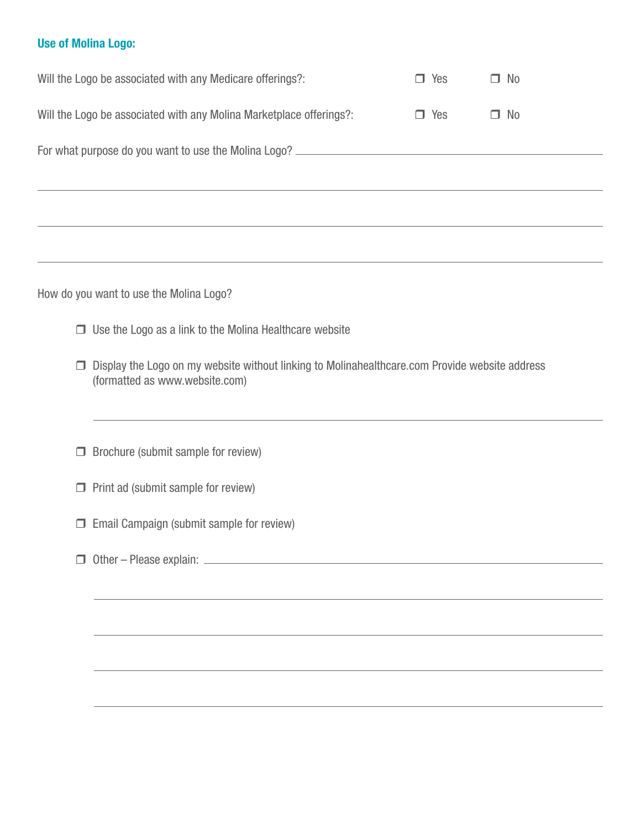#### **Use of Molina Logo:**

| Will the Logo be associated with any Medicare offerings?:           | Yes      | $\Box$ No |  |  |
|---------------------------------------------------------------------|----------|-----------|--|--|
| Will the Logo be associated with any Molina Marketplace offerings?: | Yes<br>H | $\Box$ No |  |  |
| For what purpose do you want to use the Molina Logo?                |          |           |  |  |
|                                                                     |          |           |  |  |

How do you want to use the Molina Logo?

- $\Box$  Use the Logo as a link to the Molina Healthcare website
- $\Box$  Display the Logo on my website without linking to Molinahealthcare.com Provide website address (formatted as www.website.com)
- $\Box$  Brochure (submit sample for review)
- $\Box$  Print ad (submit sample for review)
- $\Box$  Email Campaign (submit sample for review)
- Other Please explain: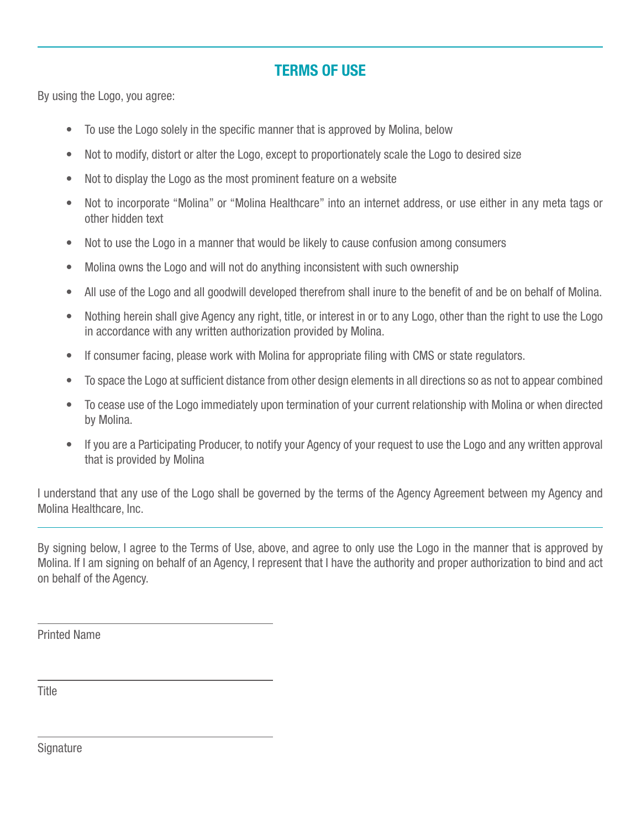### **TERMS OF USE**

By using the Logo, you agree:

- To use the Logo solely in the specific manner that is approved by Molina, below
- Not to modify, distort or alter the Logo, except to proportionately scale the Logo to desired size
- Not to display the Logo as the most prominent feature on a website
- Not to incorporate "Molina" or "Molina Healthcare" into an internet address, or use either in any meta tags or other hidden text
- Not to use the Logo in a manner that would be likely to cause confusion among consumers
- Molina owns the Logo and will not do anything inconsistent with such ownership
- All use of the Logo and all goodwill developed therefrom shall inure to the benefit of and be on behalf of Molina.
- Nothing herein shall give Agency any right, title, or interest in or to any Logo, other than the right to use the Logo in accordance with any written authorization provided by Molina.
- If consumer facing, please work with Molina for appropriate filing with CMS or state regulators.
- To space the Logo at sufficient distance from other design elements in all directions so as not to appear combined
- To cease use of the Logo immediately upon termination of your current relationship with Molina or when directed by Molina.
- If you are a Participating Producer, to notify your Agency of your request to use the Logo and any written approval that is provided by Molina

I understand that any use of the Logo shall be governed by the terms of the Agency Agreement between my Agency and Molina Healthcare, Inc.

By signing below, I agree to the Terms of Use, above, and agree to only use the Logo in the manner that is approved by Molina. If I am signing on behalf of an Agency, I represent that I have the authority and proper authorization to bind and act on behalf of the Agency.

Printed Name

**Title** 

**Signature**